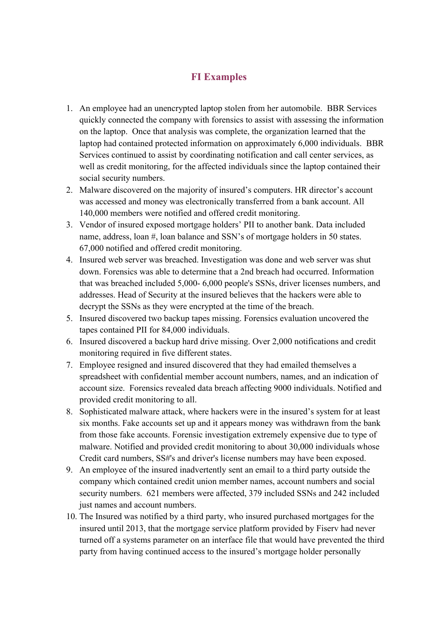## **FI Examples**

- 1. An employee had an unencrypted laptop stolen from her automobile. BBR Services quickly connected the company with forensics to assist with assessing the information on the laptop. Once that analysis was complete, the organization learned that the laptop had contained protected information on approximately 6,000 individuals. BBR Services continued to assist by coordinating notification and call center services, as well as credit monitoring, for the affected individuals since the laptop contained their social security numbers.
- 2. Malware discovered on the majority of insured's computers. HR director's account was accessed and money was electronically transferred from a bank account. All 140,000 members were notified and offered credit monitoring.
- 3. Vendor of insured exposed mortgage holders' PII to another bank. Data included name, address, loan #, loan balance and SSN's of mortgage holders in 50 states. 67,000 notified and offered credit monitoring.
- 4. Insured web server was breached. Investigation was done and web server was shut down. Forensics was able to determine that a 2nd breach had occurred. Information that was breached included 5,000- 6,000 people's SSNs, driver licenses numbers, and addresses. Head of Security at the insured believes that the hackers were able to decrypt the SSNs as they were encrypted at the time of the breach.
- 5. Insured discovered two backup tapes missing. Forensics evaluation uncovered the tapes contained PII for 84,000 individuals.
- 6. Insured discovered a backup hard drive missing. Over 2,000 notifications and credit monitoring required in five different states.
- 7. Employee resigned and insured discovered that they had emailed themselves a spreadsheet with confidential member account numbers, names, and an indication of account size. Forensics revealed data breach affecting 9000 individuals. Notified and provided credit monitoring to all.
- 8. Sophisticated malware attack, where hackers were in the insured's system for at least six months. Fake accounts set up and it appears money was withdrawn from the bank from those fake accounts. Forensic investigation extremely expensive due to type of malware. Notified and provided credit monitoring to about 30,000 individuals whose Credit card numbers, SS#'s and driver's license numbers may have been exposed.
- 9. An employee of the insured inadvertently sent an email to a third party outside the company which contained credit union member names, account numbers and social security numbers. 621 members were affected, 379 included SSNs and 242 included just names and account numbers.
- 10. The Insured was notified by a third party, who insured purchased mortgages for the insured until 2013, that the mortgage service platform provided by Fiserv had never turned off a systems parameter on an interface file that would have prevented the third party from having continued access to the insured's mortgage holder personally